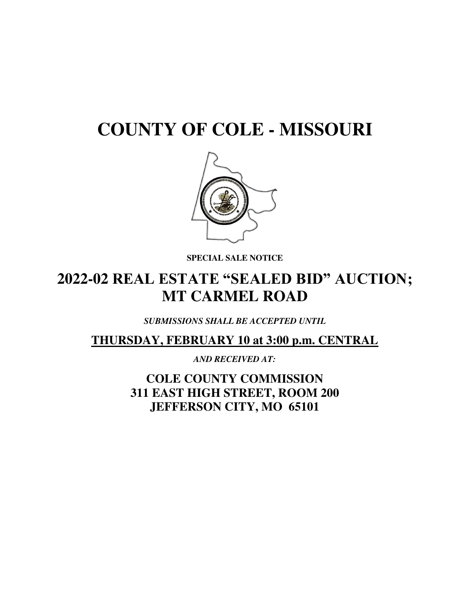# **COUNTY OF COLE - MISSOURI**



**SPECIAL SALE NOTICE** 

## **2022-02 REAL ESTATE "SEALED BID" AUCTION; MT CARMEL ROAD**

*SUBMISSIONS SHALL BE ACCEPTED UNTIL* 

**THURSDAY, FEBRUARY 10 at 3:00 p.m. CENTRAL** 

*AND RECEIVED AT:* 

**COLE COUNTY COMMISSION 311 EAST HIGH STREET, ROOM 200 JEFFERSON CITY, MO 65101**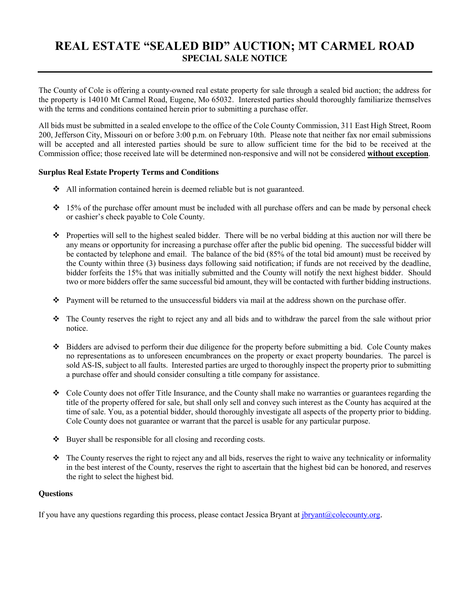### **REAL ESTATE "SEALED BID" AUCTION; MT CARMEL ROAD SPECIAL SALE NOTICE**

The County of Cole is offering a county-owned real estate property for sale through a sealed bid auction; the address for the property is 14010 Mt Carmel Road, Eugene, Mo 65032. Interested parties should thoroughly familiarize themselves with the terms and conditions contained herein prior to submitting a purchase offer.

All bids must be submitted in a sealed envelope to the office of the Cole County Commission, 311 East High Street, Room 200, Jefferson City, Missouri on or before 3:00 p.m. on February 10th. Please note that neither fax nor email submissions will be accepted and all interested parties should be sure to allow sufficient time for the bid to be received at the Commission office; those received late will be determined non-responsive and will not be considered **without exception**.

#### **Surplus Real Estate Property Terms and Conditions**

- All information contained herein is deemed reliable but is not guaranteed.
- $\div$  15% of the purchase offer amount must be included with all purchase offers and can be made by personal check or cashier's check payable to Cole County.
- Properties will sell to the highest sealed bidder. There will be no verbal bidding at this auction nor will there be any means or opportunity for increasing a purchase offer after the public bid opening. The successful bidder will be contacted by telephone and email. The balance of the bid (85% of the total bid amount) must be received by the County within three (3) business days following said notification; if funds are not received by the deadline, bidder forfeits the 15% that was initially submitted and the County will notify the next highest bidder. Should two or more bidders offer the same successful bid amount, they will be contacted with further bidding instructions.
- Payment will be returned to the unsuccessful bidders via mail at the address shown on the purchase offer.
- The County reserves the right to reject any and all bids and to withdraw the parcel from the sale without prior notice.
- Bidders are advised to perform their due diligence for the property before submitting a bid. Cole County makes no representations as to unforeseen encumbrances on the property or exact property boundaries. The parcel is sold AS-IS, subject to all faults. Interested parties are urged to thoroughly inspect the property prior to submitting a purchase offer and should consider consulting a title company for assistance.
- \* Cole County does not offer Title Insurance, and the County shall make no warranties or guarantees regarding the title of the property offered for sale, but shall only sell and convey such interest as the County has acquired at the time of sale. You, as a potential bidder, should thoroughly investigate all aspects of the property prior to bidding. Cole County does not guarantee or warrant that the parcel is usable for any particular purpose.
- $\triangleleft$  Buyer shall be responsible for all closing and recording costs.
- $\bullet$  The County reserves the right to reject any and all bids, reserves the right to waive any technicality or informality in the best interest of the County, reserves the right to ascertain that the highest bid can be honored, and reserves the right to select the highest bid.

#### **Questions**

If you have any questions regarding this process, please contact Jessica Bryant at  $\frac{1}{10}$  bryant  $\omega$ colecounty.org.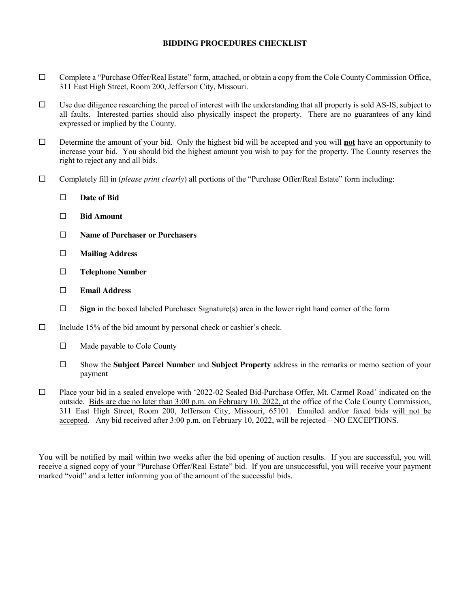#### **BIDDING PROCEDURES CHECKLIST**

- $\Box$  Complete a "Purchase Offer/Real Estate" form, attached, or obtain a copy from the Cole County Commission Office, 311 East High Street, Room 200, Jefferson City, Missouri.
- $\Box$  Use due diligence researching the parcel of interest with the understanding that all property is sold AS-IS, subject to all faults. Interested parties should also physically inspect the property. There are no guarantees of any kind expressed or implied by the County.
- Determine the amount of your bid. Only the highest bid will be accepted and you will **not** have an opportunity to increase your bid. You should bid the highest amount you wish to pay for the property. The County reserves the right to reject any and all bids.
- Completely fill in (*please print clearly*) all portions of the "Purchase Offer/Real Estate" form including:
	- **Date of Bid**
	- **Bid Amount**
	- **Name of Purchaser or Purchasers**
	- **Mailing Address**
	- **Telephone Number**
	- **Email Address**
	- □ Sign in the boxed labeled Purchaser Signature(s) area in the lower right hand corner of the form
- $\Box$  Include 15% of the bid amount by personal check or cashier's check.
	- □ Made payable to Cole County
	- Show the **Subject Parcel Number** and **Subject Property** address in the remarks or memo section of your payment
- □ Place your bid in a sealed envelope with '2022-02 Sealed Bid-Purchase Offer, Mt. Carmel Road' indicated on the outside. Bids are due no later than 3:00 p.m. on February 10, 2022, at the office of the Cole County Commission, 311 East High Street, Room 200, Jefferson City, Missouri, 65101. Emailed and/or faxed bids will not be accepted. Any bid received after 3:00 p.m. on February 10, 2022, will be rejected – NO EXCEPTIONS.

You will be notified by mail within two weeks after the bid opening of auction results. If you are successful, you will receive a signed copy of your "Purchase Offer/Real Estate" bid. If you are unsuccessful, you will receive your payment marked "void" and a letter informing you of the amount of the successful bids.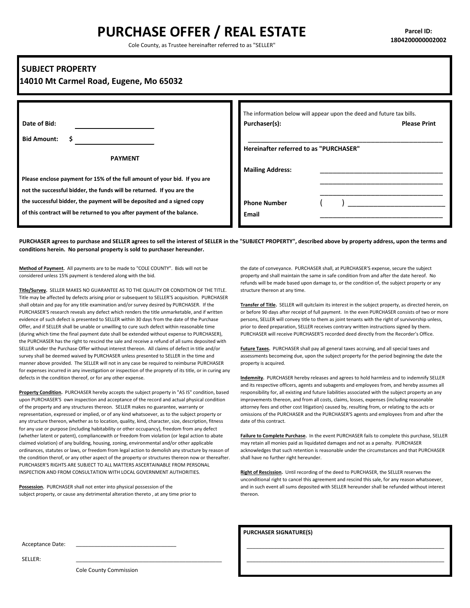## **PURCHASE OFFER / REAL ESTATE**

Cole County, as Trustee hereinafter referred to as "SELLER"

#### **SUBJECT PROPERTY**

#### **14010 Mt Carmel Road, Eugene, Mo 65032**

|                                                                           | The information below will appear upon the deed and future tax bills. |                     |
|---------------------------------------------------------------------------|-----------------------------------------------------------------------|---------------------|
| Date of Bid:                                                              | Purchaser(s):                                                         | <b>Please Print</b> |
| <b>Bid Amount:</b>                                                        |                                                                       |                     |
|                                                                           | Hereinafter referred to as "PURCHASER"                                |                     |
| <b>PAYMENT</b>                                                            |                                                                       |                     |
|                                                                           | <b>Mailing Address:</b>                                               |                     |
| Please enclose payment for 15% of the full amount of your bid. If you are |                                                                       |                     |
| not the successful bidder, the funds will be returned. If you are the     |                                                                       |                     |
| the successful bidder, the payment will be deposited and a signed copy    | <b>Phone Number</b>                                                   |                     |
| of this contract will be returned to you after payment of the balance.    | Email                                                                 |                     |

**PURCHASER agrees to purchase and SELLER agrees to sell the interest of SELLER in the "SUBJECT PROPERTY", described above by property address, upon the terms and conditions herein. No personal property is sold to purchaser hereunder.**

**Method of Payment.** All payments are to be made to "COLE COUNTY". Bids will not be considered unless 15% payment is tendered along with the bid.

**Title/Survey.** SELLER MAKES NO GUARANTEE AS TO THE QUALITY OR CONDITION OF THE TITLE. Title may be affected by defects arising prior or subsequent to SELLER'S acquisition. PURCHASER shall obtain and pay for any title examination and/or survey desired by PURCHASER. If the PURCHASER'S research reveals any defect which renders the title unmarketable, and if written evidence of such defect is presented to SELLER within 30 days from the date of the Purchase Offer, and if SELLER shall be unable or unwilling to cure such defect within reasonable time (during which time the final payment date shall be extended without expense to PURCHASER), the PURCHASER has the right to rescind the sale and receive a refund of all sums deposited with SELLER under the Purchase Offer without interest thereon. All claims of defect in title and/or survey shall be deemed waived by PURCHASER unless presented to SELLER in the time and manner above provided. The SELLER will not in any case be required to reimburse PURCHASER for expenses incurred in any investigation or inspection of the proprety of its title, or in curing any defects in the condition thereof, or for any other expense.

**Property Condition.** PURCHASER hereby accepts the subject property in "AS IS" condition, based upon PURCHASER'S own inspection and acceptance of the record and actual physical condition of the property and any structures thereon. SELLER makes no guarantee, warranty or representation, expressed or implied, or of any kind whatsoever, as to the subject property or any structure thereon, whether as to location, quality, kind, character, size, description, fitness for any use or purpose (including habitability or other occupancy), freedom from any defect (whether latent or patent), compliancewith or freedom from violation (or legal action to abate claimed violation) of any building, housing, zoning, environmental and/or other applicable ordinances, statutes or laws, or freedom from legal action to demolish any structure by reason of the condition therof, or any other aspect of the property or structures thereon now or thereafter. PURCHASER'S RIGHTS ARE SUBJECT TO ALL MATTERS ASCERTAINABLE FROM PERSONAL INSPECTION AND FROM CONSULTATION WITH LOCAL GOVERNMENT AUTHORITIES.

 $\mathcal{L}_\text{max}$  and  $\mathcal{L}_\text{max}$  and  $\mathcal{L}_\text{max}$  and  $\mathcal{L}_\text{max}$ 

**Possession.** PURCHASER shall not enter into physical possession of the subject property, or cause any detrimental alteration thereto , at any time prior to the date of conveyance. PURCHASER shall, at PURCHASER'S expense, secure the subject property and shall maintain the same in safe condition from and after the date hereof. No refunds will be made based upon damage to, or the condition of, the subject property or any structure thereon at any time.

**Transfer of Title.** SELLER will quitclaim its interest in the subject property, as directed herein, on or before 90 days after receipt of full payment. In the even PURCHASER consists of two or more persons, SELLER will convey title to them as joint tenants with the right of survivorship unless, prior to deed preparation, SELLER receives contrary written instructions signed by them. PURCHASER will receive PURCHASER'S recorded deed directly from the Recorder's Office.

**Future Taxes.** PURCHASER shall pay all general taxes accruing, and all special taxes and assessments becomeing due, upon the subject property for the period beginning the date the property is acquired.

**Indemnity.** PURCHASER hereby releases and agrees to hold harmless and to indemnify SELLER and its respective officers, agents and subagents and employees from, and hereby assumes all responsibility for, all existing and future liabilities associated with the subject property an any improvements thereon, and from all costs, claims, losses, expenses (including reasonable attorney fees and other cost litigation) caused by, resulting from, or relating to the acts or omissions of the PURCHASER and the PURCHASER'S agents and employees from and after the date of this contract.

**Failure to Complete Purchase.** In the event PURCHASER fails to complete this purchase, SELLER may retain all monies paid as liquidated damages and not as a penalty. PURCHASER acknowledges that such retention is reasonable under the circumstances and that PURCHASER shall have no further right hereunder.

**Right of Rescission.** Until recording of the deed to PURCHASER, the SELLER reserves the unconditional right to cancel this agreement and rescind this sale, for any reason whatsoever, and in such event all sums deposited with SELLER hereunder shall be refunded without interest thereon.

\_\_\_\_\_\_\_\_\_\_\_\_\_\_\_\_\_\_\_\_\_\_\_\_\_\_\_\_\_\_\_\_\_\_\_\_\_\_\_\_\_\_\_\_\_\_\_\_\_\_\_\_\_\_\_\_\_\_\_\_\_\_\_\_\_ \_\_\_\_\_\_\_\_\_\_\_\_\_\_\_\_\_\_\_\_\_\_\_\_\_\_\_\_\_\_\_\_\_\_\_\_\_\_\_\_\_\_\_\_\_\_\_\_\_\_\_\_\_\_\_\_\_\_\_\_\_\_\_\_\_

 **PURCHASER SIGNATURE(S)**

Acceptance Date:

SELLER: \_\_\_\_\_\_\_\_\_\_\_\_\_\_\_\_\_\_\_\_\_\_\_\_\_\_\_\_\_\_\_\_\_\_\_\_\_\_\_\_\_\_\_\_\_\_\_\_

Cole County Commission